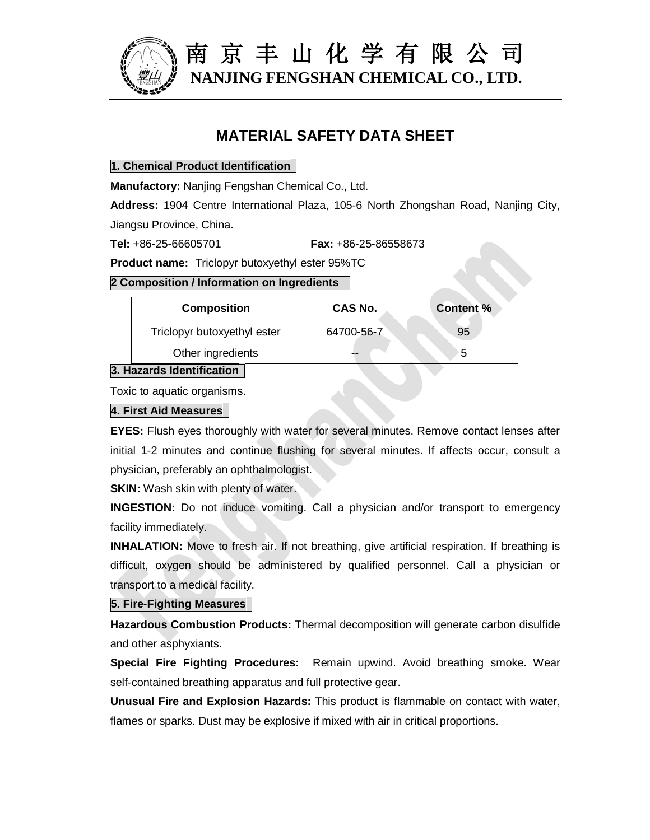

 南 京 丰 山 化 学 有 限 公 司 **NANJING FENGSHAN CHEMICAL CO., LTD.**

# **MATERIAL SAFETY DATA SHEET**

#### **1. Chemical Product Identification**

**Manufactory:** Nanjing Fengshan Chemical Co., Ltd.

**Address:** 1904 Centre International Plaza, 105-6 North Zhongshan Road, Nanjing City, Jiangsu Province, China.

**Tel:** +86-25-66605701 **Fax:** +86-25-86558673

**Product name:** Triclopyr butoxyethyl ester 95%TC

### **2 Composition / Information on Ingredients**

| <b>Composition</b>          | CAS No.    | <b>Content %</b> |
|-----------------------------|------------|------------------|
| Triclopyr butoxyethyl ester | 64700-56-7 | 95               |
| Other ingredients           | --         | 5                |

## **3. Hazards Identification**

Toxic to aquatic organisms.

#### **4. First Aid Measures**

**EYES:** Flush eyes thoroughly with water for several minutes. Remove contact lenses after initial 1-2 minutes and continue flushing for several minutes. If affects occur, consult a physician, preferably an ophthalmologist.

**SKIN:** Wash skin with plenty of water.

**INGESTION:** Do not induce vomiting. Call a physician and/or transport to emergency facility immediately.

**INHALATION:** Move to fresh air. If not breathing, give artificial respiration. If breathing is difficult, oxygen should be administered by qualified personnel. Call a physician or transport to a medical facility.

### **5. Fire-Fighting Measures**

**Hazardous Combustion Products:** Thermal decomposition will generate carbon disulfide and other asphyxiants.

**Special Fire Fighting Procedures:** Remain upwind. Avoid breathing smoke. Wear self-contained breathing apparatus and full protective gear.

**Unusual Fire and Explosion Hazards:** This product is flammable on contact with water, flames or sparks. Dust may be explosive if mixed with air in critical proportions.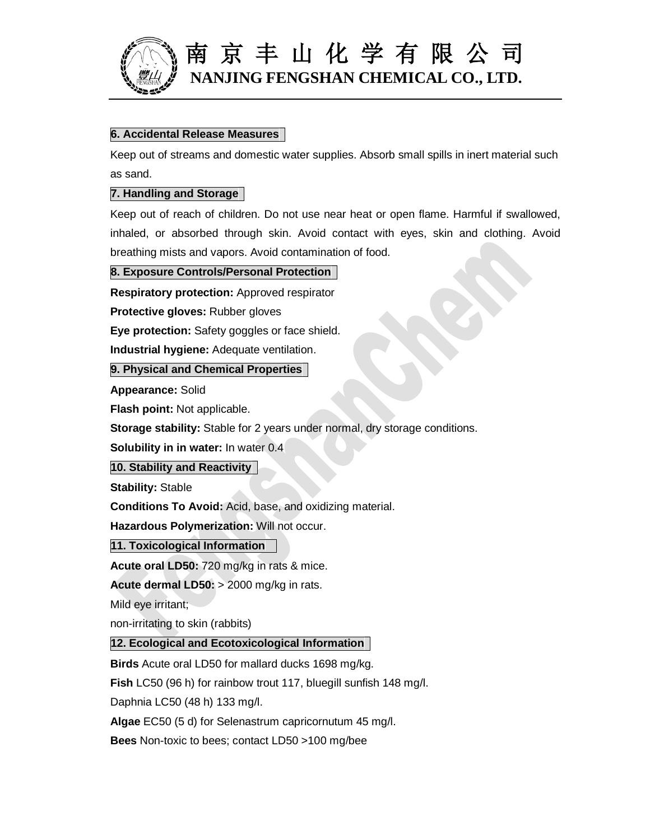

# 南 京 丰 山 化 学 有 限 公 司 **NANJING FENGSHAN CHEMICAL CO., LTD.**

### **6. Accidental Release Measures**

Keep out of streams and domestic water supplies. Absorb small spills in inert material such as sand.

#### **7. Handling and Storage**

Keep out of reach of children. Do not use near heat or open flame. Harmful if swallowed, inhaled, or absorbed through skin. Avoid contact with eyes, skin and clothing. Avoid breathing mists and vapors. Avoid contamination of food.

**8. Exposure Controls/Personal Protection**

**Respiratory protection:** Approved respirator

**Protective gloves:** Rubber gloves

**Eye protection:** Safety goggles or face shield.

**Industrial hygiene:** Adequate ventilation.

**9. Physical and Chemical Properties**

**Appearance:** Solid

**Flash point:** Not applicable.

**Storage stability:** Stable for 2 years under normal, dry storage conditions.

**Solubility in in water:** In water 0.4

**10. Stability and Reactivity**

**Stability:** Stable

**Conditions To Avoid:** Acid, base, and oxidizing material.

**Hazardous Polymerization:** Will not occur.

**11. Toxicological Information**

**Acute oral LD50:** 720 mg/kg in rats & mice.

**Acute dermal LD50:** > 2000 mg/kg in rats.

Mild eye irritant;

non-irritating to skin (rabbits)

### **12. Ecological and Ecotoxicological Information**

**Birds** Acute oral LD50 for mallard ducks 1698 mg/kg.

**Fish** LC50 (96 h) for rainbow trout 117, bluegill sunfish 148 mg/l.

Daphnia LC50 (48 h) 133 mg/l.

**Algae** EC50 (5 d) for Selenastrum capricornutum 45 mg/l.

**Bees** Non-toxic to bees; contact LD50 >100 mg/bee